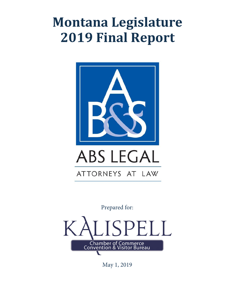# **Montana Legislature 2019 Final Report**



Prepared for:



May 1, 2019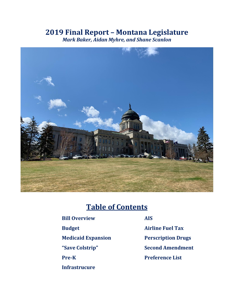## **2019 Final Report – Montana Legislature**

*Mark Baker, Aidan Myhre, and Shane Scanlon*



## **Table of Contents**

| <b>Bill Overview</b>      | <b>AIS</b> |
|---------------------------|------------|
| <b>Budget</b>             | Air        |
| <b>Medicaid Expansion</b> | Per        |
| "Save Colstrip"           | <b>Sec</b> |
| <b>Pre-K</b>              | Pre        |
| <b>Infrastrucure</b>      |            |

**Budget Airline Fuel Tax Medication Perscription Drugs Second Amendment Preference List**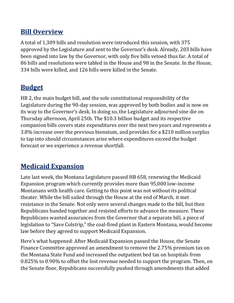#### **Bill Overview**

A total of 1,309 bills and resolution were introduced this session, with 375 approved by the Legislature and sent to the Governor's desk. Already, 203 bills have been signed into law by the Governor, with only five bills vetoed thus far. A total of 86 bills and resolutions were tabled in the House and 98 in the Senate. In the House, 334 bills were killed, and 126 bills were killed in the Senate.

## **Budget**

HB 2, the main budget bill, and the sole constitutional responsibility of the Legislature during the 90-day session, was approved by both bodies and is now on its way to the Governor's desk. In doing so, the Legislature adjourned sine die on Thursday afternoon, April 25th. The \$10.3 billion budget and its respective companion bills covers state expenditures over the next two years and represents a 3.8% increase over the previous biennium, and provides for a \$210 million surplus to tap into should circumstances arise where expenditures exceed the budget forecast or we experience a revenue shortfall.

## **Medicaid Expansion**

Late last week, the Montana Legislature passed HB 658, renewing the Medicaid Expansion program which currently provides more than 95,000 low-income Montanans with health care. Getting to this point was not without its political theater. While the bill sailed through the House at the end of March, it met resistance in the Senate. Not only were several changes made to the bill, but then Republicans banded together and resisted efforts to advance the measure. These Republicans wanted assurances from the Governor that a separate bill, a piece of legislation to "Save Colstrip," the coal-fired plant in Eastern Montana, would become law before they agreed to support Medicaid Expansion.

Here's what happened: After Medicaid Expansion passed the House, the Senate Finance Committee approved an amendment to remove the 2.75% premium tax on the Montana State Fund and increased the outpatient bed tax on hospitals from 0.825% to 0.90% to offset the lost revenue needed to support the program. Then, on the Senate floor, Republicans successfully pushed through amendments that added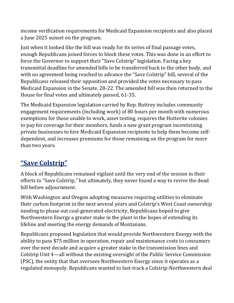income verification requirements for Medicaid Expansion recipients and also placed a June 2025 sunset on the program.

Just when it looked like the bill was ready for its series of final passage votes, enough Republicans joined forces to block these votes. This was done in an effort to force the Governor to support their "Save Colstrip" legislation. Facing a key transmittal deadline for amended bills to be transferred back to the other body, and with no agreement being reached to advance the "Save Colstrip" bill, several of the Republicans released their opposition and provided the votes necessary to pass Medicaid Expansion in the Senate, 28-22. The amended bill was then returned to the House for final votes and ultimately passed, 61-35.

The Medicaid Expansion legislation carried by Rep. Buttrey includes community engagement requirements (including work) of 80 hours per month with numerous exemptions for those unable to work, asset testing, requires the Hutterite colonies to pay for coverage for their members, funds a new grant program incentivizing private businesses to hire Medicaid Expansion recipients to help them become selfdependent, and increases premiums for those remaining on the program for more than two years.

## **"Save Colstrip"**

A block of Republicans remained vigilant until the very end of the session in their efforts to "Save Colstrip," but ultimately, they never found a way to revive the dead bill before adjournment.

With Washington and Oregon adopting measures requiring utilities to eliminate their carbon footprint in the next several years and Colstrip's West Coast ownership needing to phase out coal-generated electricity, Republicans hoped to give Northwestern Energy a greater stake in the plant in the hopes of extending its lifeline and meeting the energy demands of Montanans.

Republicans proposed legislation that would provide Northwestern Energy with the ability to pass \$75 million in operation, repair and maintenance costs to consumers over the next decade and acquire a greater stake in the transmission lines and Colstrip Unit 4—all without the existing oversight of the Public Service Commission (PSC), the entity that that oversees Northwestern Energy since it operates as a regulated monopoly. Republicans wanted to fast-track a Colstrip-Northwestern deal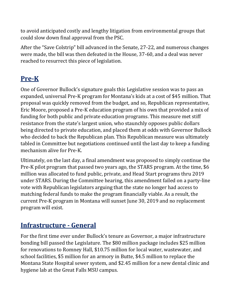to avoid anticipated costly and lengthy litigation from environmental groups that could slow down final approval from the PSC.

After the "Save Colstrip" bill advanced in the Senate, 27-22, and numerous changes were made, the bill was then defeated in the House, 37-60, and a deal was never reached to resurrect this piece of legislation.

## **Pre-K**

One of Governor Bullock's signature goals this Legislative session was to pass an expanded, universal Pre-K program for Montana's kids at a cost of \$45 million. That proposal was quickly removed from the budget, and so, Republican representative, Eric Moore, proposed a Pre-K education program of his own that provided a mix of funding for both public and private education programs. This measure met stiff resistance from the state's largest union, who staunchly opposes public dollars being directed to private education, and placed them at odds with Governor Bullock who decided to back the Republican plan. This Republican measure was ultimately tabled in Committee but negotiations continued until the last day to keep a funding mechanism alive for Pre-K.

Ultimately, on the last day, a final amendment was proposed to simply continue the Pre-K pilot program that passed two years ago, the STARS program. At the time, \$6 million was allocated to fund public, private, and Head Start programs thru 2019 under STARS. During the Committee hearing, this amendment failed on a party-line vote with Republican legislators arguing that the state no longer had access to matching federal funds to make the program financially viable. As a result, the current Pre-K program in Montana will sunset June 30, 2019 and no replacement program will exist.

#### **Infrastructure - General**

For the first time ever under Bullock's tenure as Governor, a major infrastructure bonding bill passed the Legislature. The \$80 million package includes \$25 million for renovations to Romney Hall, \$10.75 million for local water, wastewater, and school facilities, \$5 million for an armory in Butte, \$4.5 million to replace the Montana State Hospital sewer system, and \$2.45 million for a new dental clinic and hygiene lab at the Great Falls MSU campus.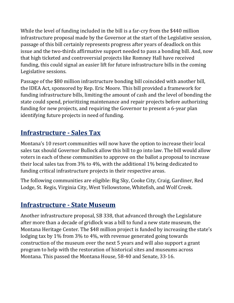While the level of funding included in the bill is a far-cry from the \$440 million infrastructure proposal made by the Governor at the start of the Legislative session, passage of this bill certainly represents progress after years of deadlock on this issue and the two-thirds affirmative support needed to pass a bonding bill. And, now that high ticketed and controversial projects like Romney Hall have received funding, this could signal an easier lift for future infrastructure bills in the coming Legislative sessions.

Passage of the \$80 million infrastructure bonding bill coincided with another bill, the IDEA Act, sponsored by Rep. Eric Moore. This bill provided a framework for funding infrastructure bills, limiting the amount of cash and the level of bonding the state could spend, prioritizing maintenance and repair projects before authorizing funding for new projects, and requiring the Governor to present a 6-year plan identifying future projects in need of funding.

## **Infrastructure - Sales Tax**

Montana's 10 resort communities will now have the option to increase their local sales tax should Governor Bullock allow this bill to go into law. The bill would allow voters in each of these communities to approve on the ballot a proposal to increase their local sales tax from 3% to 4%, with the additional 1% being dedicated to funding critical infrastructure projects in their respective areas.

The following communities are eligible: Big Sky, Cooke City, Craig, Gardiner, Red Lodge, St. Regis, Virginia City, West Yellowstone, Whitefish, and Wolf Creek.

#### **Infrastructure - State Museum**

Another infrastructure proposal, SB 338, that advanced through the Legislature after more than a decade of gridlock was a bill to fund a new state museum, the Montana Heritage Center. The \$48 million project is funded by increasing the state's lodging tax by 1% from 3% to 4%, with revenue generated going towards construction of the museum over the next 5 years and will also support a grant program to help with the restoration of historical sites and museums across Montana. This passed the Montana House, 58-40 and Senate, 33-16.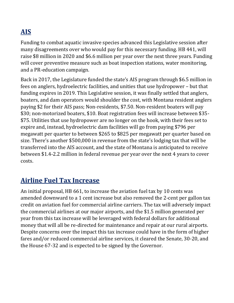# **AIS**

Funding to combat aquatic invasive species advanced this Legislative session after many disagreements over who would pay for this necessary funding. HB 441, will raise \$8 million in 2020 and \$6.6 million per year over the next three years. Funding will cover preventive measure such as boat inspection stations, water monitoring, and a PR-education campaign.

Back in 2017, the Legislature funded the state's AIS program through \$6.5 million in fees on anglers, hydroelectric facilities, and unities that use hydropower – but that funding expires in 2019. This Legislative session, it was finally settled that anglers, boaters, and dam operators would shoulder the cost, with Montana resident anglers paying \$2 for their AIS pass; Non-residents, \$7.50. Non-resident boaters will pay \$30; non-motorized boaters, \$10. Boat registration fees will increase between \$35- \$75. Utilities that use hydropower are no longer on the hook, with their fees set to expire and, instead, hydroelectric dam facilities will go from paying \$796 per megawatt per quarter to between \$265 to \$825 per megawatt per quarter based on size. There's another \$500,000 in revenue from the state's lodging tax that will be transferred into the AIS account, and the state of Montana is anticipated to receive between \$1.4-2.2 million in federal revenue per year over the next 4 years to cover costs.

#### **Airline Fuel Tax Increase**

An initial proposal, HB 661, to increase the aviation fuel tax by 10 cents was amended downward to a 1 cent increase but also removed the 2-cent per gallon tax credit on aviation fuel for commercial airline carriers. The tax will adversely impact the commercial airlines at our major airports, and the \$1.5 million generated per year from this tax increase will be leveraged with federal dollars for additional money that will all be re-directed for maintenance and repair at our rural airports. Despite concerns over the impact this tax increase could have in the form of higher fares and/or reduced commercial airline services, it cleared the Senate, 30-20, and the House 67-32 and is expected to be signed by the Governor.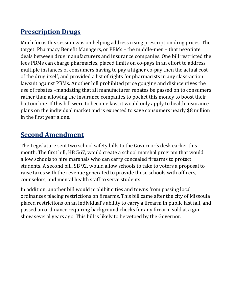## **Prescription Drugs**

Much focus this session was on helping address rising prescription drug prices. The target: Pharmacy Benefit Managers, or PBMs – the middle-men – that negotiate deals between drug manufacturers and insurance companies. One bill restricted the fees PBMs can charge pharmacies, placed limits on co-pays in an effort to address multiple instances of consumers having to pay a higher co-pay then the actual cost of the drug itself, and provided a list of rights for pharmacists in any class-action lawsuit against PBMs. Another bill prohibited price gouging and disincentives the use of rebates –mandating that all manufacturer rebates be passed on to consumers rather than allowing the insurance companies to pocket this money to boost their bottom line. If this bill were to become law, it would only apply to health insurance plans on the individual market and is expected to save consumers nearly \$8 million in the first year alone.

## **Second Amendment**

The Legislature sent two school safety bills to the Governor's desk earlier this month. The first bill, HB 567, would create a school marshal program that would allow schools to hire marshals who can carry concealed firearms to protect students. A second bill, SB 92, would allow schools to take to voters a proposal to raise taxes with the revenue generated to provide these schools with officers, counselors, and mental health staff to serve students.

In addition, another bill would prohibit cities and towns from passing local ordinances placing restrictions on firearms. This bill came after the city of Missoula placed restrictions on an individual's ability to carry a firearm in public last fall, and passed an ordinance requiring background checks for any firearm sold at a gun show several years ago. This bill is likely to be vetoed by the Governor.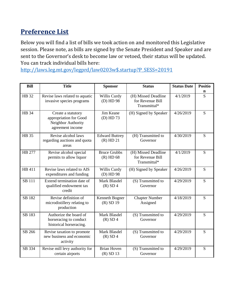## **Preference List**

Below you will find a list of bills we took action on and monitored this Legislative session. Please note, as bills are signed by the Senate President and Speaker and are sent to the Governor's desk to become law or vetoed, their status will be updated. You can track individual bills here:

[http://laws.leg.mt.gov/legprd/law0203w\\$.startup?P\\_SESS=20191](http://laws.leg.mt.gov/legprd/law0203w$.startup?P_SESS=20191)

| <b>Bill</b>   | <b>Title</b>                                                                           | <b>Sponsor</b>                       | <b>Status</b>                                           | <b>Status Date</b> | <b>Positio</b> |
|---------------|----------------------------------------------------------------------------------------|--------------------------------------|---------------------------------------------------------|--------------------|----------------|
|               |                                                                                        |                                      |                                                         |                    | n              |
| HB 32         | Revise laws related to aquatic<br>invasive species programs                            | Willis Curdy<br>(D) HD 98            | (H) Missed Deadline<br>for Revenue Bill<br>Transmittal* | 4/1/2019           | S              |
| <b>HB</b> 34  | Create a statutory<br>appropriation for Good<br>Neighbor Authority<br>agreement income | Jim Keane<br>(D) HD 73               | (H) Signed by Speaker                                   | 4/26/2019          | S              |
| <b>HB</b> 35  | Revise alcohol laws<br>regarding auctions and quota<br>areas                           | <b>Edward Buttrey</b><br>$(R)$ HD 21 | (H) Transmitted to<br>Governor                          | 4/30/2019          | S              |
| HB 277        | Revise alcohol special<br>permits to allow liquor                                      | <b>Bruce Grubbs</b><br>$(R)$ HD 68   | (H) Missed Deadline<br>for Revenue Bill<br>Transmittal* | 4/1/2019           | S              |
| HB 411        | Revise laws related to AIS<br>expenditures and funding                                 | Willis Curdy<br>(D) HD 98            | (H) Signed by Speaker                                   | 4/26/2019          | S              |
| <b>SB 111</b> | Extend termination date of<br>qualified endowment tax<br>credit                        | Mark Blasdel<br>$(R)$ SD 4           | (S) Transmitted to<br>Governor                          | 4/29/2019          | S              |
| SB 182        | Revise definition of<br>microdistillery relating to<br>production                      | Kenneth Bogner<br>$(R)$ SD 19        | <b>Chapter Number</b><br>Assigned                       | 4/18/2019          | S              |
| SB 183        | Authorize the board of<br>horseracing to conduct<br>historical horseracing.            | Mark Blasdel<br>$(R)$ SD 4           | (S) Transmitted to<br>Governor                          | 4/29/2019          | S              |
| SB 266        | Revise taxation to promote<br>new business and economic<br>activity                    | Mark Blasdel<br>$(R)$ SD 4           | (S) Transmitted to<br>Governor                          | 4/29/2019          | S              |
| SB 334        | Revise mill levy authority for<br>certain airports                                     | <b>Brian Hoven</b><br>$(R)$ SD 13    | (S) Transmitted to<br>Governor                          | 4/29/2019          | S              |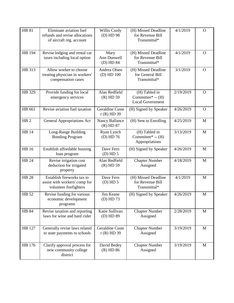| <b>HB 81</b>    | Eliminate aviation fuel<br>refunds and revise allocations<br>of aircraft reg. account | Willis Curdy<br>(D) HD 98              | (H) Missed Deadline<br>for Revenue Bill<br>Transmittal*        | 4/1/2019  | $\mathbf O$    |
|-----------------|---------------------------------------------------------------------------------------|----------------------------------------|----------------------------------------------------------------|-----------|----------------|
| HB 194          | Revise lodging and rental car<br>taxes including local option                         | Mary<br>Ann Dunwell<br>(D) HD 84       | (H) Missed Deadline<br>for Revenue Bill<br>Transmittal*        | 4/1/2019  | $\Omega$       |
| HB 313          | Allow worker to choose<br>treating physician in workers'<br>compensation cases        | Andrea Olsen<br>$(D)$ HD $100$         | (H) Missed Deadline<br>for General Bill<br>Transmittal*        | 3/1/2019  | $\mathbf O$    |
| HB 329          | Provide funding for local<br>emergency services                                       | Alan Redfield<br>$(R)$ HD 59           | (H) Tabled in<br>Committee* $-$ (H)<br><b>Local Government</b> | 2/19/2019 | $\mathbf O$    |
| HB 661          | Revise aviation fuel taxation                                                         | <b>Geraldine Custe</b><br>$r(R)$ HD 39 | (H) Signed by Speaker                                          | 4/26/2019 | $\overline{O}$ |
| HB <sub>2</sub> | <b>General Appropriations Act</b>                                                     | <b>Nancy Ballance</b><br>$(R)$ HD 87   | (H) Sent to Enrolling                                          | 4/25/2019 | M              |
| <b>HB</b> 14    | Long-Range Building<br><b>Bonding Program</b>                                         | Ryan Lynch<br>$(D)$ HD 76              | (H) Tabled in<br>Committee* $-$ (H)<br>Appropriations          | 3/13/2019 | M              |
| <b>HB</b> 16    | Establish affordable housing<br>loan program                                          | Dave Fern<br>$(D)$ HD 5                | (H) Signed by Speaker                                          | 4/26/2019 | M              |
| <b>HB 24</b>    | Revise irrigation cost<br>deduction for irrigated<br>property                         | Alan Redfield<br>$(R)$ HD 59           | <b>Chapter Number</b><br>Assigned                              | 4/18/2019 | M              |
| <b>HB 28</b>    | Establish fireworks tax to<br>assist with workers' comp for<br>volunteer firefighters | Dave Fern<br>$(D)$ HD 5                | (H) Missed Deadline<br>for Revenue Bill<br>Transmittal*        | 4/1/2019  | M              |
| HB 52           | Revise funding for various<br>economic development<br>programs                        | Jim Keane<br>(D) HD 73                 | (H) Signed by Speaker                                          | 4/26/2019 | M              |
| <b>HB 84</b>    | Revise taxation and reporting<br>laws for wine and hard cider                         | Katie Sullivan<br>(D) HD 89            | <b>Chapter Number</b><br>Assigned                              | 2/28/2019 | M              |
| HB 127          | Generally revise laws related<br>to state payments to schools                         | <b>Geraldine Custe</b><br>$r(R)$ HD 39 | <b>Chapter Number</b><br>Assigned                              | 3/19/2019 | M              |
| HB 176          | Clarify approval process for<br>new community college<br>district                     | David Bedey<br>$(R)$ HD 86             | <b>Chapter Number</b><br>Assigned                              | 3/19/2019 | M              |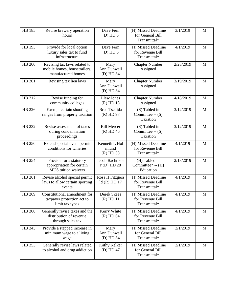| HB 185        | Revise brewery operation<br>hours                                                  | Dave Fern<br>$(D)$ HD $5$             | (H) Missed Deadline<br>for General Bill<br>Transmittal* | 3/1/2019  | M |
|---------------|------------------------------------------------------------------------------------|---------------------------------------|---------------------------------------------------------|-----------|---|
| HB 195        | Provide for local option<br>luxury sales tax to fund<br>infrastructure             | Dave Fern<br>$(D)$ HD $5$             | (H) Missed Deadline<br>for Revenue Bill<br>Transmittal* | 4/1/2019  | M |
| <b>HB 200</b> | Revising tax laws related to<br>mobile homes, housetrailers,<br>manufactured homes | Mary<br>Ann Dunwell<br>(D) HD 84      | <b>Chapter Number</b><br>Assigned                       | 2/28/2019 | M |
| HB 201        | Revising tax lien laws                                                             | Mary<br>Ann Dunwell<br>(D) HD 84      | <b>Chapter Number</b><br>Assigned                       | 3/19/2019 | M |
| HB 212        | Revise funding for<br>community colleges                                           | <b>Llew Jones</b><br>$(R)$ HD 18      | <b>Chapter Number</b><br>Assigned                       | 4/18/2019 | M |
| HB 226        | Exempt certain shooting<br>ranges from property taxation                           | <b>Brad Tschida</b><br>$(R)$ HD 97    | (S) Tabled in<br>Committee -- $(S)$<br>Taxation         | 3/12/2019 | M |
| HB 232        | Revise assessment of taxes<br>during condemnation<br>proceedings                   | <b>Bill Mercer</b><br>$(R)$ HD 46     | (S) Tabled in<br>Committee -- $(S)$<br>Taxation         | 3/12/2019 | M |
| HB 250        | Extend special event permit<br>conditions for wineries                             | Kenneth L Hol<br>mlund<br>$(R)$ HD 38 | (H) Missed Deadline<br>for Revenue Bill<br>Transmittal* | 4/1/2019  | M |
| HB 254        | Provide for a statutory<br>appropriation for certain<br><b>MUS</b> tuition waivers | Jacob Bachmeie<br>$r(D)$ HD 28        | (H) Tabled in<br>Committee* -- (H)<br>Education         | 2/13/2019 | M |
| HB 261        | Revise alcohol special permit<br>laws to allow certain sporting<br>events          | Ross H Fitzgera<br>ld(R) HD 17        | (H) Missed Deadline<br>for Revenue Bill<br>Transmittal* | 4/1/2019  | M |
| HB 269        | Constitutional amendment for<br>taxpayer protection act to<br>limit tax types      | Derek Skees<br>$(R)$ HD 11            | (H) Missed Deadline<br>for Revenue Bill<br>Transmittal* | 4/1/2019  | M |
| <b>HB</b> 300 | Generally revise taxes and the<br>distribution of revenue<br>through sales tax     | Kerry White<br>$(R)$ HD 64            | (H) Missed Deadline<br>for Revenue Bill<br>Transmittal* | 4/1/2019  | M |
| HB 345        | Provide a stepped increase in<br>minimum wage to a living<br>wage                  | Mary<br>Ann Dunwell<br>(D) HD 84      | (H) Missed Deadline<br>for General Bill<br>Transmittal* | 3/1/2019  | M |
| HB 353        | Generally revise laws related<br>to alcohol and drug addiction                     | Kathy Kelker<br>$(D)$ HD 47           | (H) Missed Deadline<br>for General Bill<br>Transmittal* | 3/1/2019  | M |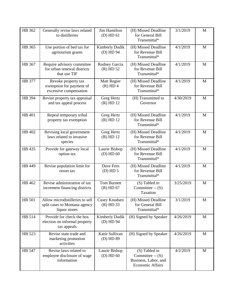| HB 362 | Generally revise laws related<br>to distilleries                                  | <b>Jim Hamilton</b><br>$(D)$ HD $61$ | (H) Missed Deadline<br>for General Bill<br>Transmittal*                              | 3/1/2019  | M           |
|--------|-----------------------------------------------------------------------------------|--------------------------------------|--------------------------------------------------------------------------------------|-----------|-------------|
| HB 365 | Use portion of bed tax for<br>agritourism grants                                  | Kimberly Dudik<br>(D) HD 94          | (H) Missed Deadline<br>for Revenue Bill<br>Transmittal*                              | 4/1/2019  | M           |
| HB 367 | Require advisory committee<br>for urban renewal districts<br>that use TIF         | Rodney Garcia<br>$(R)$ HD 52         | (H) Missed Deadline<br>for Revenue Bill<br>Transmittal*                              | 4/1/2019  | M           |
| HB 377 | Revoke property tax<br>exemption for payment of<br>excessive compensation         | <b>Matt Regier</b><br>$(R)$ HD 4     | (H) Missed Deadline<br>for Revenue Bill<br>Transmittal*                              | 4/1/2019  | M           |
| HB 394 | Revise property tax appraisal<br>and tax appeal process                           | Greg Hertz<br>$(R)$ HD 12            | (H) Transmitted to<br>Governor                                                       | 4/30/2019 | M           |
| HB 401 | Repeal temporary tribal<br>property tax exemption                                 | Greg Hertz<br>$(R)$ HD 12            | (H) Missed Deadline<br>for Revenue Bill<br>Transmittal*                              | 4/1/2019  | M           |
| HB 402 | Revising local government<br>laws related to invasive<br>species                  | <b>Greg Hertz</b><br>$(R)$ HD 12     | (H) Missed Deadline<br>for Revenue Bill<br>Transmittal*                              | 4/1/2019  | M           |
| HB 435 | Provide for gateway local<br>option tax                                           | Laurie Bishop<br>$(D)$ HD 60         | (H) Missed Deadline<br>for Revenue Bill<br>Transmittal*                              | 4/1/2019  | M           |
| HB 449 | Revise population limit for<br>resort tax                                         | Dave Fern<br>$(D)$ HD 5              | (H) Missed Deadline<br>for Revenue Bill<br>Transmittal*                              | 4/1/2019  | M           |
| HB 462 | Revise administration of tax<br>increment financing districts                     | <b>Tom Burnett</b><br>$(R)$ HD 67    | (S) Tabled in<br>Committee $-S$ )<br>Taxation                                        | 3/25/2019 | M           |
| HB 501 | Allow microdistilleries to sell<br>split cases to Montana agency<br>liquor stores | Casey Knudsen<br>$(R)$ HD 33         | (H) Missed Deadline<br>for General Bill<br>Transmittal*                              | 3/1/2019  | $\mathbf M$ |
| HB 514 | Provide for check the box<br>election on informal property<br>tax appeals         | Kimberly Dudik<br>(D) HD 94          | (H) Signed by Speaker                                                                | 4/26/2019 | M           |
| HB 523 | Revise state trade and<br>marketing promotion<br>activities                       | Katie Sullivan<br>(D) HD 89          | (H) Signed by Speaker                                                                | 4/26/2019 | M           |
| HB 547 | Revise laws related to<br>employee disclosure of wage<br>information              | Laurie Bishop<br>$(D)$ HD 60         | (S) Tabled in<br>Committee $-S$ )<br>Business, Labor, and<br><b>Economic Affairs</b> | 4/2/2019  | M           |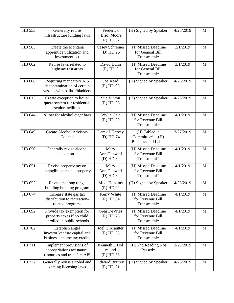| HB 553 | Generally revise<br>infrastructure funding laws                                        | Frederick<br>(Eric) Moore<br>$(R)$ HD 37 | (H) Signed by Speaker                                            | 4/26/2019 | M |
|--------|----------------------------------------------------------------------------------------|------------------------------------------|------------------------------------------------------------------|-----------|---|
| HB 565 | Create the Montana<br>apprentice utilization and<br>investment act                     | Casey Schreiner<br>$(D)$ HD 26           | (H) Missed Deadline<br>for General Bill<br>Transmittal*          | 3/1/2019  | M |
| HB 602 | Revise laws related to<br>highway rest areas                                           | David Dunn<br>$(R)$ HD 9                 | (H) Missed Deadline<br>for General Bill<br>Transmittal*          | 3/1/2019  | M |
| HB 608 | Requiring mandatory AIS<br>decontamination of certain<br>vessels with ballast/bladders | Joe Read<br>$(R)$ HD 93                  | (H) Signed by Speaker                                            | 4/26/2019 | M |
| HB 613 | Create exception to liquor<br>quota system for residential<br>senior facilities        | Sue Vinton<br>$(R)$ HD 56                | (H) Signed by Speaker                                            | 4/26/2019 | M |
| HB 644 | Allow for alcohol cigar bars                                                           | Wylie Galt<br>$(R)$ HD 30                | (H) Missed Deadline<br>for Revenue Bill<br>Transmittal*          | 4/1/2019  | M |
| HB 649 | <b>Create Alcohol Advisory</b><br>Council                                              | Derek J Harvey<br>(D) HD 74              | (H) Tabled in<br>Committee* $-$ (H)<br><b>Business and Labor</b> | 3/27/2019 | M |
| HB 650 | Generally revise alcohol<br>taxation                                                   | Mary<br>Ann Dunwell<br>(D) HD 84         | (H) Missed Deadline<br>for Revenue Bill<br>Transmittal*          | 4/1/2019  | M |
| HB 651 | Revise property tax on<br>intangible personal property                                 | Mary<br>Ann Dunwell<br>(D) HD 84         | (H) Missed Deadline<br>for Revenue Bill<br>Transmittal*          | 4/1/2019  | M |
| HB 652 | Revise the long range<br>building bonding program                                      | Mike Hopkins<br>$(R)$ HD 92              | (H) Signed by Speaker                                            | 4/26/2019 | M |
| HB 674 | Increase state gas tax<br>distribution to recreation-<br>related programs              | Kerry White<br>$(R)$ HD 64               | (H) Missed Deadline<br>for Revenue Bill<br>Transmittal*          | 4/1/2019  | M |
| HB 692 | Provide tax exemption for<br>property taxes if no child<br>enrolled in public schools  | Greg DeVries<br>$(R)$ HD 75              | (H) Missed Deadline<br>for Revenue Bill<br>Transmittal*          | 4/1/2019  | M |
| HB 702 | Establish angel<br>investor/venture capital and<br>business income tax credits         | Joel G Krautter<br>$(R)$ HD 35           | (H) Missed Deadline<br>for Revenue Bill<br>Transmittal*          | 4/1/2019  | M |
| HB 711 | Implement provisions of<br>appropriations act natural<br>resources and transfers AIS   | Kenneth L Hol<br>mlund<br>$(R)$ HD 38    | (H) 2nd Reading Not<br>Passed*                                   | 3/29/2019 | M |
| HB 727 | Generally revise alcohol and<br>gaming licensing laws                                  | <b>Edward Buttrey</b><br>$(R)$ HD 21     | (H) Signed by Speaker                                            | 4/26/2019 | M |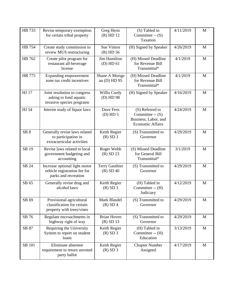| HB 733          | Revise temporary exemption<br>for certain tribal property                             | Greg Hertz<br>$(R)$ HD 12         | (S) Tabled in<br>Committee $-S$ )<br>Taxation                                            | 4/11/2019 | M            |
|-----------------|---------------------------------------------------------------------------------------|-----------------------------------|------------------------------------------------------------------------------------------|-----------|--------------|
| HB 754          | Create study commission to<br>review MUS restructuring                                | Sue Vinton<br>$(R)$ HD 56         | (H) Signed by Speaker                                                                    | 4/26/2019 | M            |
| HB 762          | Create pilot program for<br>restaurant all-beverage<br>license                        | Jim Hamilton<br>$(D)$ HD 61       | (H) Missed Deadline<br>for Revenue Bill<br>Transmittal*                                  | 4/1/2019  | M            |
| HB 775          | Expanding empowerment<br>zone tax credit incentives                                   | Shane A Morige<br>au (D) HD 95    | (H) Missed Deadline<br>for Revenue Bill<br>Transmittal*                                  | 4/1/2019  | $\mathbf M$  |
| HJ 17           | Joint resolution to congress<br>asking to fund aquatic<br>invasive species programs   | Willis Curdy<br>(D) HD 98         | (H) Signed by Speaker                                                                    | 4/16/2019 | $\mathbf M$  |
| HJ 54           | Interim study of liquor laws                                                          | Dave Fern<br>$(D)$ HD 5           | (S) Referred to<br>Committee -- $(S)$<br>Business, Labor, and<br><b>Economic Affairs</b> | 4/24/2019 | M            |
| SB <sub>8</sub> | Generally revise laws related<br>to participation in<br>extracurricular activities    | Keith Regier<br>$(R)$ SD 3        | (S) Transmitted to<br>Governor                                                           | 4/29/2019 | M            |
| SB 19           | Revise laws related to local<br>government budgeting and<br>accounting                | Roger Webb<br>$(R)$ SD 23         | (S) Missed Deadline<br>for General Bill<br>Transmittal*                                  | 3/1/2019  | M            |
| SB 24           | Increase optional light motor<br>vehicle registration fee for<br>parks and recreation | Terry Gauthier<br>$(R)$ SD 40     | (S) Transmitted to<br>Governor                                                           | 4/29/2019 | M            |
| SB 65           | Generally revise drug and<br>alcohol laws                                             | Keith Regier<br>$(R)$ SD 3        | (H) Tabled in<br>Committee -- (H)<br>Judiciary                                           | 4/12/2019 | M            |
| SB 69           | Provisional agricultural<br>classification for certain<br>property with trees/vines   | Mark Blasdel<br>$(R)$ SD 4        | (S) Transmitted to<br>Governor                                                           | 4/29/2019 | M            |
| SB 76           | Regulate encroachments in<br>highway right of way                                     | <b>Brian Hoven</b><br>$(R)$ SD 13 | (S) Transmitted to<br>Governor                                                           | 4/29/2019 | M            |
| SB 87           | Requiring the University<br>System to report on student<br>loans                      | Keith Regier<br>$(R)$ SD 3        | (H) Tabled in<br>Committee -- (H)<br>Education                                           | 3/13/2019 | $\mathbf{M}$ |
| SB 101          | Eliminate absentee<br>requirement to return unvoted<br>party ballot                   | Keith Regier<br>$(R)$ SD 3        | <b>Chapter Number</b><br>Assigned                                                        | 4/17/2019 | M            |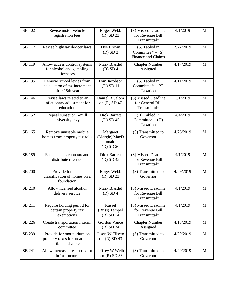| SB 102        | Revise motor vehicle<br>registration fees                                    | Roger Webb<br>$(R)$ SD 23                       | (S) Missed Deadline<br>for Revenue Bill<br>Transmittal*  | 4/1/2019  | M           |
|---------------|------------------------------------------------------------------------------|-------------------------------------------------|----------------------------------------------------------|-----------|-------------|
| SB 117        | Revise highway de-icer laws                                                  | Dee Brown<br>$(R)$ SD 2                         | (S) Tabled in<br>Committee* $-S$ )<br>Finance and Claims | 2/22/2019 | M           |
| SB 119        | Allow access control systems<br>for alcohol and gambling<br>licensees        | Mark Blasdel<br>$(R)$ SD 4                      | <b>Chapter Number</b><br>Assigned                        | 4/17/2019 | M           |
| SB 135        | Remove school levies from<br>calculation of tax increment<br>after 15th year | Tom Jacobson<br>$(D)$ SD 11                     | (S) Tabled in<br>Committee* $-$ (S)<br>Taxation          | 4/11/2019 | M           |
| SB 146        | Revise laws related to an<br>inflationary adjustment for<br>education        | Daniel R Salom<br>on (R) SD 47                  | (S) Missed Deadline<br>for General Bill<br>Transmittal*  | 3/1/2019  | M           |
| SB 152        | Repeal sunset on 6-mill<br>university levy                                   | <b>Dick Barrett</b><br>$(D)$ SD 45              | (H) Tabled in<br>Committee -- (H)<br>Taxation            | 4/4/2019  | M           |
| SB 165        | Remove unusable mobile<br>homes from property tax rolls                      | Margaret<br>(Margie) MacD<br>onald<br>(D) SD 26 | (S) Transmitted to<br>Governor                           | 4/26/2019 | M           |
| SB 189        | Establish a carbon tax and<br>distribute revenue                             | <b>Dick Barrett</b><br>$(D)$ SD 45              | (S) Missed Deadline<br>for Revenue Bill<br>Transmittal*  | 4/1/2019  | M           |
| <b>SB 200</b> | Provide for equal<br>classification of homes on a<br>foundation              | Roger Webb<br>$(R)$ SD 23                       | (S) Transmitted to<br>Governor                           | 4/29/2019 | M           |
| SB 210        | Allow licensed alcohol<br>delivery service                                   | Mark Blasdel<br>$(R)$ SD 4                      | (S) Missed Deadline<br>for Revenue Bill<br>Transmittal*  | 4/1/2019  | M           |
| SB 211        | Require holding period for<br>certain property tax<br>exemptions             | Russel<br>(Russ) Tempel<br>$(R)$ SD 14          | (S) Missed Deadline<br>for Revenue Bill<br>Transmittal*  | 4/1/2019  | M           |
| SB 226        | Create transportation interim<br>committee                                   | Gordon Vance<br>$(R)$ SD 34                     | <b>Chapter Number</b><br>Assigned                        | 4/18/2019 | M           |
| SB 239        | Provide for moratorium on<br>property taxes for broadband<br>fiber and cable | Jason W Ellswo<br>rth $(R)$ SD 43               | (S) Transmitted to<br>Governor                           | 4/29/2019 | $\mathbf M$ |
| SB 241        | Allow increased resort tax for<br>infrastructure                             | Jeffrey W Welb<br>orn $(R)$ SD 36               | (S) Transmitted to<br>Governor                           | 4/29/2019 | M           |